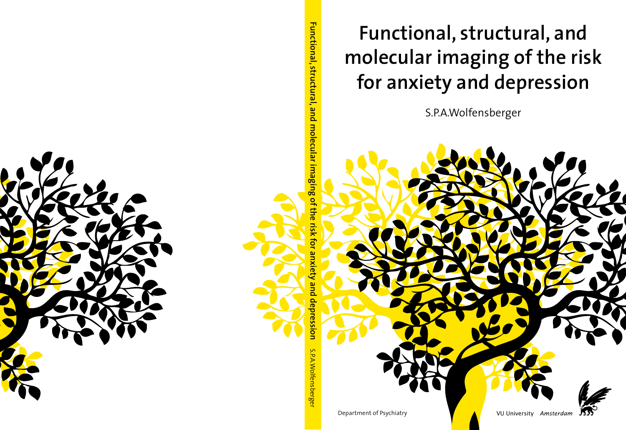

**Functional, structural, and molecular imaging of the risk for anxiety and depression**

S.P.A.Wolfensberger

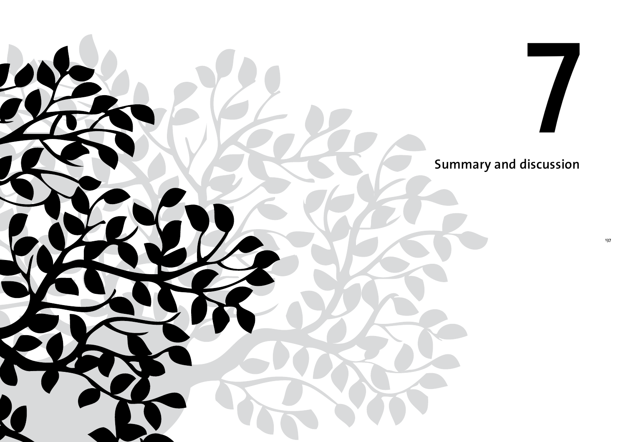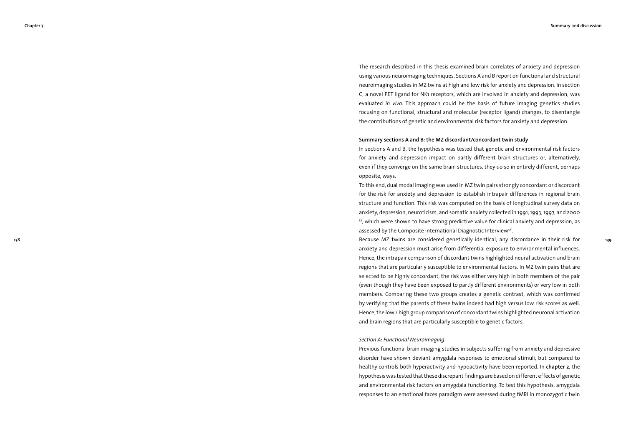**139**

The research described in this thesis examined brain correlates of anxiety and depression using various neuroimaging techniques. Sections A and B report on functional and structural neuroimaging studies in MZ twins at high and low risk for anxiety and depression. In section C, a novel PET ligand for NK1 receptors, which are involved in anxiety and depression, was evaluated *in vivo*. This approach could be the basis of future imaging genetics studies focusing on functional, structural and molecular (receptor ligand) changes, to disentangle the contributions of genetic and environmental risk factors for anxiety and depression.

## **Summary sections A and B: the MZ discordant/concordant twin study**

In sections A and B, the hypothesis was tested that genetic and environmental risk factors for anxiety and depression impact on partly different brain structures or, alternatively, even if they converge on the same brain structures, they do so in entirely different, perhaps opposite, ways.

To this end, dual modal imaging was used in MZ twin pairs strongly concordant or discordant for the risk for anxiety and depression to establish intrapair differences in regional brain structure and function. This risk was computed on the basis of longitudinal survey data on anxiety, depression, neuroticism, and somatic anxiety collected in 1991, 1993, 1997, and 2000 57, which were shown to have strong predictive value for clinical anxiety and depression, as assessed by the Composite International Diagnostic Interview<sup>58</sup>.

Because MZ twins are considered genetically identical, any discordance in their risk for anxiety and depression must arise from differential exposure to environmental influences. Hence, the intrapair comparison of discordant twins highlighted neural activation and brain regions that are particularly susceptible to environmental factors. In MZ twin pairs that are selected to be highly concordant, the risk was either very high in both members of the pair (even though they have been exposed to partly different environments) or very low in both members. Comparing these two groups creates a genetic contrast, which was confirmed by verifying that the parents of these twins indeed had high versus low risk scores as well. Hence, the low / high group comparison of concordant twins highlighted neuronal activation and brain regions that are particularly susceptible to genetic factors.

## *Section A: Functional Neuroimaging*

Previous functional brain imaging studies in subjects suffering from anxiety and depressive disorder have shown deviant amygdala responses to emotional stimuli, but compared to healthy controls both hyperactivity and hypoactivity have been reported. In **chapter 2**, the hypothesis was tested that these discrepant findings are based on different effects of genetic and environmental risk factors on amygdala functioning. To test this hypothesis, amygdala responses to an emotional faces paradigm were assessed during fMRI in monozygotic twin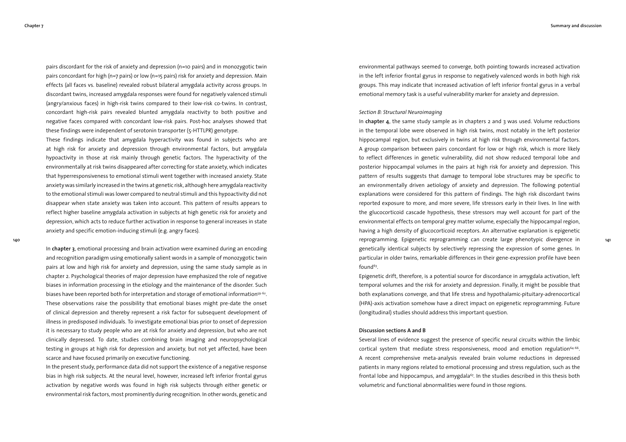pairs discordant for the risk of anxiety and depression (n=10 pairs) and in monozygotic twin pairs concordant for high (n=7 pairs) or low (n=15 pairs) risk for anxiety and depression. Main effects (all faces vs. baseline) revealed robust bilateral amygdala activity across groups. In discordant twins, increased amygdala responses were found for negatively valenced stimuli (angry/anxious faces) in high-risk twins compared to their low-risk co-twins. In contrast, concordant high-risk pairs revealed blunted amygdala reactivity to both positive and negative faces compared with concordant low-risk pairs. Post-hoc analyses showed that these findings were independent of serotonin transporter (5-HTTLPR) genotype.

These findings indicate that amygdala hyperactivity was found in subjects who are at high risk for anxiety and depression through environmental factors, but amygdala hypoactivity in those at risk mainly through genetic factors. The hyperactivity of the environmentally at risk twins disappeared after correcting for state anxiety, which indicates that hyperresponsiveness to emotional stimuli went together with increased anxiety. State anxiety was similarly increased in the twins at genetic risk, although here amygdala reactivity to the emotional stimuli was lower compared to neutral stimuli and this hypoactivity did not disappear when state anxiety was taken into account. This pattern of results appears to reflect higher baseline amygdala activation in subjects at high genetic risk for anxiety and depression, which acts to reduce further activation in response to general increases in state anxiety and specific emotion-inducing stimuli (e.g. angry faces).

In **chapter 3**, emotional processing and brain activation were examined during an encoding and recognition paradigm using emotionally salient words in a sample of monozygotic twin pairs at low and high risk for anxiety and depression, using the same study sample as in chapter 2. Psychological theories of major depression have emphasized the role of negative biases in information processing in the etiology and the maintenance of the disorder. Such biases have been reported both for interpretation and storage of emotional information<sup>59-62</sup>. These observations raise the possibility that emotional biases might pre-date the onset of clinical depression and thereby represent a risk factor for subsequent development of illness in predisposed individuals. To investigate emotional bias prior to onset of depression it is necessary to study people who are at risk for anxiety and depression, but who are not clinically depressed. To date, studies combining brain imaging and neuropsychological testing in groups at high risk for depression and anxiety, but not yet affected, have been scarce and have focused primarily on executive functioning.

In the present study, performance data did not support the existence of a negative response bias in high risk subjects. At the neural level, however, increased left inferior frontal gyrus activation by negative words was found in high risk subjects through either genetic or environmental risk factors, most prominently during recognition. In other words, genetic and

environmental pathways seemed to converge, both pointing towards increased activation in the left inferior frontal gyrus in response to negatively valenced words in both high risk groups. This may indicate that increased activation of left inferior frontal gyrus in a verbal emotional memory task is a useful vulnerability marker for anxiety and depression.

## *Section B: Structural Neuroimaging*

In **chapter 4**, the same study sample as in chapters 2 and 3 was used. Volume reductions in the temporal lobe were observed in high risk twins, most notably in the left posterior hippocampal region, but exclusively in twins at high risk through environmental factors. A group comparison between pairs concordant for low or high risk, which is more likely to reflect differences in genetic vulnerability, did not show reduced temporal lobe and posterior hippocampal volumes in the pairs at high risk for anxiety and depression. This pattern of results suggests that damage to temporal lobe structures may be specific to an environmentally driven aetiology of anxiety and depression. The following potential explanations were considered for this pattern of findings. The high risk discordant twins reported exposure to more, and more severe, life stressors early in their lives. In line with the glucocorticoid cascade hypothesis, these stressors may well account for part of the environmental effects on temporal grey matter volume, especially the hippocampal region, having a high density of glucocorticoid receptors. An alternative explanation is epigenetic reprogramming. Epigenetic reprogramming can create large phenotypic divergence in genetically identical subjects by selectively repressing the expression of some genes. In particular in older twins, remarkable differences in their gene-expression profile have been found<sup>63</sup>.

Epigenetic drift, therefore, is a potential source for discordance in amygdala activation, left temporal volumes and the risk for anxiety and depression. Finally, it might be possible that both explanations converge, and that life stress and hypothalamic-pituitary-adrenocortical (HPA)-axis activation somehow have a direct impact on epigenetic reprogramming. Future (longitudinal) studies should address this important question.

## **Discussion sections A and B**

Several lines of evidence suggest the presence of specific neural circuits within the limbic cortical system that mediate stress responsiveness, mood and emotion regulation $64.66$ . A recent comprehensive meta-analysis revealed brain volume reductions in depressed patients in many regions related to emotional processing and stress regulation, such as the frontal lobe and hippocampus, and amygdala<sup>67</sup>. In the studies described in this thesis both volumetric and functional abnormalities were found in those regions.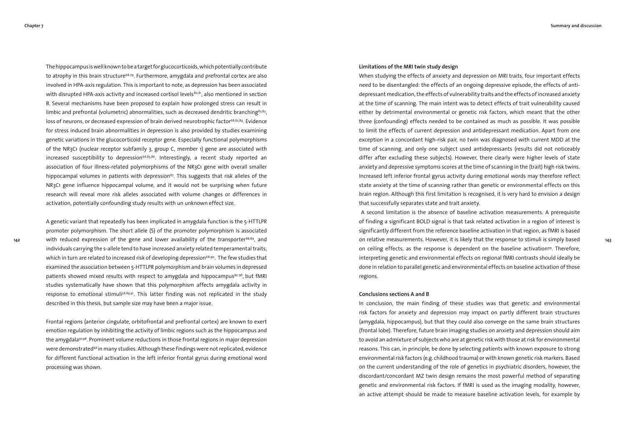**142**

The hippocampus is well known to be a target for glucocorticoids, which potentially contribute to atrophy in this brain structure<sup>68-79</sup>. Furthermore, amygdala and prefrontal cortex are also involved in HPA-axis regulation. This is important to note, as depression has been associated with disrupted HPA-axis activity and increased cortisol levels $80,81$ , also mentioned in section B. Several mechanisms have been proposed to explain how prolonged stress can result in limbic and prefrontal (volumetric) abnormalities, such as decreased dendritic branching $82,83$ , loss of neurons, or decreased expression of brain derived neurotrophic factor<sup>68,82,84</sup>. Evidence for stress induced brain abnormalities in depression is also provided by studies examining genetic variations in the glucocorticoid receptor gene. Especially functional polymorphisms of the NR3C1 (nuclear receptor subfamily 3, group C, member 1) gene are associated with increased susceptibility to depression<sup>68,85,86</sup>. Interestingly, a recent study reported an association of four illness-related polymorphisms of the NR3C1 gene with overall smaller hippocampal volumes in patients with depression $87$ . This suggests that risk alleles of the NR3C1 gene influence hippocampal volume, and it would not be surprising when future research will reveal more risk alleles associated with volume changes or differences in activation, potentially confounding study results with un unknown effect size.

A genetic variant that repeatedly has been implicated in amygdala function is the 5-HTTLPR promoter polymorphism. The short allele (S) of the promoter polymorphism is associated with reduced expression of the gene and lower availability of the transporter<sup>88,89</sup>, and individuals carrying the s-allele tend to have increased anxiety related temperamental traits, which in turn are related to increased risk of developing depression<sup>68,90</sup>. The few studies that examined the association between 5-HTTLPR polymorphism and brain volumes in depressed patients showed mixed results with respect to amygdala and hippocampus93-96, but fMRI studies systematically have shown that this polymorphism affects amygdala activity in response to emotional stimuli<sup>38,89,91</sup>. This latter finding was not replicated in the study described in this thesis, but sample size may have been a major issue.

Frontal regions (anterior cingulate, orbitofrontal and prefrontal cortex) are known to exert emotion regulation by inhibiting the activity of limbic regions such as the hippocampus and the amygdala97.98. Prominent volume reductions in those frontal regions in major depression were demonstrated<sup>68</sup> in many studies. Although these findings were not replicated, evidence for different functional activation in the left inferior frontal gyrus during emotional word processing was shown.

## **Limitations of the MRI twin study design**

When studying the effects of anxiety and depression on MRI traits, four important effects need to be disentangled: the effects of an ongoing depressive episode, the effects of antidepressant medication, the effects of vulnerability traits and the effects of increased anxiety at the time of scanning. The main intent was to detect effects of trait vulnerability caused either by detrimental environmental or genetic risk factors, which meant that the other three (confounding) effects needed to be contained as much as possible. It was possible to limit the effects of current depression and antidepressant medication. Apart from one exception in a concordant high-risk pair, no twin was diagnosed with current MDD at the time of scanning, and only one subject used antidepressants (results did not noticeably differ after excluding these subjects). However, there clearly were higher levels of state anxiety and depressive symptoms scores at the time of scanning in the (trait) high risk twins. Increased left inferior frontal gyrus activity during emotional words may therefore reflect state anxiety at the time of scanning rather than genetic or environmental effects on this brain region. Although this first limitation is recognised, it is very hard to envision a design that successfully separates state and trait anxiety.

 A second limitation is the absence of baseline activation measurements. A prerequisite of finding a significant BOLD signal is that task related activation in a region of interest is significantly different from the reference baseline activation in that region, as fMRI is based on relative measurements. However, it is likely that the response to stimuli is simply based on ceiling effects, as the response is dependent on the baseline activation<sup>99</sup>. Therefore, interpreting genetic and environmental effects on regional fMRI contrasts should ideally be done in relation to parallel genetic and environmental effects on baseline activation of those regions.

## **Conclusions sections A and B**

In conclusion, the main finding of these studies was that genetic and environmental risk factors for anxiety and depression may impact on partly different brain structures (amygdala, hippocampus), but that they could also converge on the same brain structures (frontal lobe). Therefore, future brain imaging studies on anxiety and depression should aim to avoid an admixture of subjects who are at genetic risk with those at risk for environmental reasons. This can, in principle, be done by selecting patients with known exposure to strong environmental risk factors (e.g. childhood trauma) or with known genetic risk markers. Based on the current understanding of the role of genetics in psychiatric disorders, however, the discordant/concordant MZ twin design remains the most powerful method of separating genetic and environmental risk factors. If fMRI is used as the imaging modality, however, an active attempt should be made to measure baseline activation levels, for example by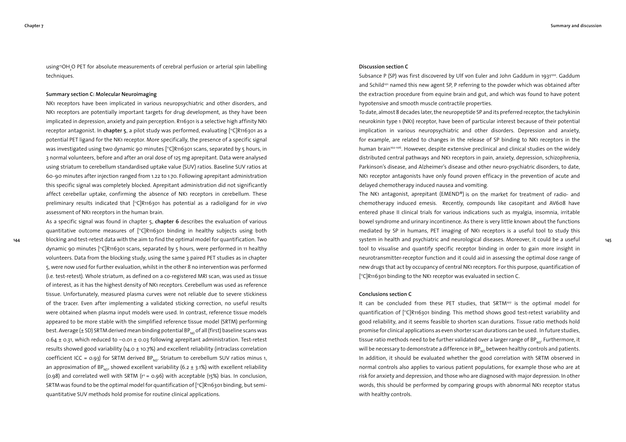**144**

using<sup>15</sup>OH<sub>2</sub>O PET for absolute measurements of cerebral perfusion or arterial spin labelling techniques.

## **Summary section C: Molecular Neuroimaging**

NK1 receptors have been implicated in various neuropsychiatric and other disorders, and NK1 receptors are potentially important targets for drug development, as they have been implicated in depression, anxiety and pain perception. R116301 is a selective high affinity NK1 receptor antagonist. In **chapter 5**, a pilot study was performed, evaluating [ 11C]R116301 as a potential PET ligand for the NK1 receptor. More specifically, the presence of a specific signal was investigated using two dynamic 90 minutes [ 11C]R116301 scans, separated by 5 hours, in 3 normal volunteers, before and after an oral dose of 125 mg aprepitant. Data were analysed using striatum to cerebellum standardised uptake value (SUV) ratios. Baseline SUV ratios at 60-90 minutes after injection ranged from 1.22 to 1.70. Following aprepitant administration this specific signal was completely blocked. Aprepitant administration did not significantly affect cerebellar uptake, confirming the absence of NK1 receptors in cerebellum. These preliminary results indicated that ["C]R116301 has potential as a radioligand for *in vivo* assessment of NK1 receptors in the human brain.

As a specific signal was found in chapter 5, **chapter 6** describes the evaluation of various quantitative outcome measures of [ 11C]R116301 binding in healthy subjects using both blocking and test-retest data with the aim to find the optimal model for quantification. Two dynamic 90 minutes ["C]R116301 scans, separated by 5 hours, were performed in 11 healthy volunteers. Data from the blocking study, using the same 3 paired PET studies as in chapter 5, were now used for further evaluation, whilst in the other 8 no intervention was performed (i.e. test-retest). Whole striatum, as defined on a co-registered MRI scan, was used as tissue of interest, as it has the highest density of NK1 receptors. Cerebellum was used as reference tissue. Unfortunately, measured plasma curves were not reliable due to severe stickiness of the tracer. Even after implementing a validated sticking correction, no useful results were obtained when plasma input models were used. In contrast, reference tissue models appeared to be more stable with the simplified reference tissue model (SRTM) performing best. Average ( $\pm$  SD) SRTM derived mean binding potential BP<sub>ND</sub> of all (first) baseline scans was 0.64  $\pm$  0.31, which reduced to -0.01  $\pm$  0.03 following aprepitant administration. Test-retest results showed good variability ( $14.0 \pm 10.7\%$ ) and excellent reliability (intraclass correlation coefficient ICC = 0.93) for SRTM derived  $BP_{\text{ND}}$ . Striatum to cerebellum SUV ratios minus 1, an approximation of BP<sub>ND</sub>, showed excellent variability (6.2  $\pm$  3.1%) with excellent reliability (0.98) and correlated well with SRTM ( $r^2$  = 0.96) with acceptable (15%) bias. In conclusion, SRTM was found to be the optimal model for quantification of [ 11C]R116301 binding, but semiquantitative SUV methods hold promise for routine clinical applications.

#### **Discussion section C**

Subsance P (SP) was first discovered by Ulf von Euler and John Gaddum in 1931 $100$ . Gaddum and Schild<sup>101</sup> named this new agent SP, P referring to the powder which was obtained after the extraction procedure from equine brain and gut, and which was found to have potent hypotensive and smooth muscle contractile properties.

To date, almost 8 decades later, the neuropeptide SP and its preferred receptor, the tachykinin neurokinin type 1 (NK1) receptor, have been of particular interest because of their potential implication in various neuropsychiatric and other disorders. Depression and anxiety, for example, are related to changes in the release of SP binding to NK1 receptors in the human brain<sup>102-106</sup>. However, despite extensive preclinical and clinical studies on the widely distributed central pathways and NK1 receptors in pain, anxiety, depression, schizophrenia, Parkinson's disease, and Alzheimer's disease and other neuro-psychiatric disorders, to date, NK1 receptor antagonists have only found proven efficacy in the prevention of acute and delayed chemotherapy induced nausea and vomiting.

The NK1 antagonist, aprepitant (EMEND®) is on the market for treatment of radio- and chemotherapy induced emesis. Recently, compounds like casopitant and AV608 have entered phase II clinical trials for various indications such as myalgia, insomnia, irritable bowel syndrome and urinary incontinence. As there is very little known about the functions mediated by SP in humans, PET imaging of NK1 receptors is a useful tool to study this system in health and psychiatric and neurological diseases. Moreover, it could be a useful tool to visualise and quantify specific receptor binding in order to gain more insight in neurotransmitter-receptor function and it could aid in assessing the optimal dose range of new drugs that act by occupancy of central NK1 receptors. For this purpose, quantification of [ 11C]R116301 binding to the NK1 receptor was evaluated in section C.

## **Conclusions section C**

It can be concluded from these PET studies, that SRTM<sup>107</sup> is the optimal model for quantification of [ 11C]R116301 binding. This method shows good test-retest variability and good reliability, and it seems feasible to shorten scan durations. Tissue ratio methods hold promise for clinical applications as even shorter scan durations can be used. In future studies, tissue ratio methods need to be further validated over a larger range of BP<sub>ND</sub>. Furthermore, it will be necessary to demonstrate a difference in BP $_{ND}$  between healthy controls and patients. In addition, it should be evaluated whether the good correlation with SRTM observed in normal controls also applies to various patient populations, for example those who are at risk for anxiety and depression, and those who are diagnosed with major depression. In other words, this should be performed by comparing groups with abnormal NK1 receptor status with healthy controls.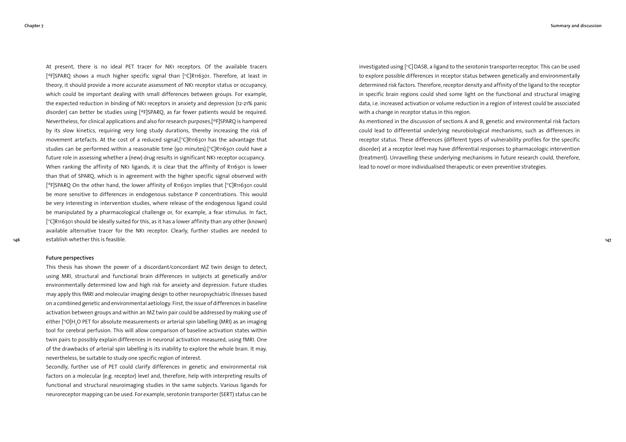At present, there is no ideal PET tracer for NK1 receptors. Of the available tracers [ 18F]SPARQ shows a much higher specific signal than [ 11C]R116301. Therefore, at least in theory, it should provide a more accurate assessment of NK1 receptor status or occupancy, which could be important dealing with small differences between groups. For example, the expected reduction in binding of NK1 receptors in anxiety and depression (12-21% panic disorder) can better be studies using  $[{}^{18}F]$ SPARO, as far fewer patients would be required. Nevertheless, for clinical applications and also for research purposes,[18F]SPARQ is hampered by its slow kinetics, requiring very long study durations, thereby increasing the risk of movement artefacts. At the cost of a reduced signal,[ 11C]R116301 has the advantage that studies can be performed within a reasonable time (90 minutes).[ 11C]R116301 could have a future role in assessing whether a (new) drug results in significant NK1 receptor occupancy. When ranking the affinity of NK1 ligands, it is clear that the affinity of R116301 is lower than that of SPARQ, which is in agreement with the higher specific signal observed with [18F]SPARQ On the other hand, the lower affinity of R116301 implies that [11C]R116301 could be more sensitive to differences in endogenous substance P concentrations. This would be very interesting in intervention studies, where release of the endogenous ligand could be manipulated by a pharmacological challenge or, for example, a fear stimulus. In fact, [ 11C]R116301 should be ideally suited for this, as it has a lower affinity than any other (known) available alternative tracer for the NK1 receptor. Clearly, further studies are needed to establish whether this is feasible.

## **Future perspectives**

This thesis has shown the power of a discordant/concordant MZ twin design to detect, using MRI, structural and functional brain differences in subjects at genetically and/or environmentally determined low and high risk for anxiety and depression. Future studies may apply this fMRI and molecular imaging design to other neuropsychiatric illnesses based on a combined genetic and environmental aetiology. First, the issue of differences in baseline activation between groups and within an MZ twin pair could be addressed by making use of either [150]H<sub>2</sub>O PET for absolute measurements or arterial spin labelling (MRI) as an imaging tool for cerebral perfusion. This will allow comparison of baseline activation states within twin pairs to possibly explain differences in neuronal activation measured, using fMRI. One of the drawbacks of arterial spin labelling is its inability to explore the whole brain. It may, nevertheless, be suitable to study one specific region of interest.

Secondly, further use of PET could clarify differences in genetic and environmental risk factors on a molecular (e.g. receptor) level and, therefore, help with interpreting results of functional and structural neuroimaging studies in the same subjects. Various ligands for neuroreceptor mapping can be used. For example, serotonin transporter (SERT) status can be investigated using  $[{}^nC]$ DASB, a ligand to the serotonin transporter receptor. This can be used to explore possible differences in receptor status between genetically and environmentally determined risk factors. Therefore, receptor density and affinity of the ligand to the receptor in specific brain regions could shed some light on the functional and structural imaging data, i.e. increased activation or volume reduction in a region of interest could be associated with a change in receptor status in this region.

As mentioned in the discussion of sections A and B, genetic and environmental risk factors could lead to differential underlying neurobiological mechanisms, such as differences in receptor status. These differences (different types of vulnerability profiles for the specific disorder) at a receptor level may have differential responses to pharmacologic intervention (treatment). Unravelling these underlying mechanisms in future research could, therefore, lead to novel or more individualised therapeutic or even preventive strategies.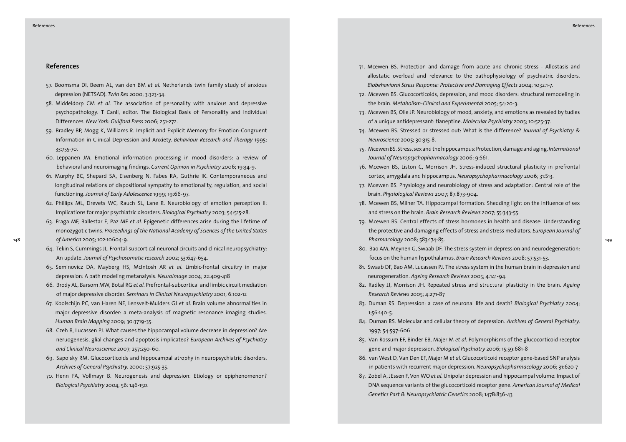# **References**

- 57. Boomsma DI, Beem AL, van den BM *et al*. Netherlands twin family study of anxious depression (NETSAD). *Twin Res* 2000; 3:323-34.
- 58. Middeldorp CM *et al*. The association of personality with anxious and depressive psychopathology. T Canli, editor. The Biological Basis of Personality and Individual Differences. *New York: Guilford Press* 2006; 251-272.
- 59. Bradley BP, Mogg K, Williams R. Implicit and Explicit Memory for Emotion-Congruent Information in Clinical Depression and Anxiety. *Behaviour Research and Therapy* 1995; 33:755-70.
- 60. Leppanen JM. Emotional information processing in mood disorders: a review of behavioral and neuroimaging findings. *Current Opinion in Psychiatry* 2006; 19:34-9.
- 61. Murphy BC, Shepard SA, Eisenberg N, Fabes RA, Guthrie IK. Contemporaneous and longitudinal relations of dispositional sympathy to emotionality, regulation, and social functioning. *Journal of Early Adolescence* 1999; 19:66-97.
- 62. Phillips ML, Drevets WC, Rauch SL, Lane R. Neurobiology of emotion perception II: Implications for major psychiatric disorders. *Biological Psychiatry* 2003; 54:515-28.
- **148 149** *Pharmacology* 2008; 583:174-85. 63. Fraga MF, Ballestar E, Paz MF *et al*. Epigenetic differences arise during the lifetime of monozygotic twins. *Proceedings of the National Academy of Sciences of the United States of America* 2005; 102:10604-9.
	- 64. Tekin S, Cummings JL. Frontal-subcortical neuronal circuits and clinical neuropsychiatry: An update. *Journal of Psychosomatic research* 2002; 53:647-654.
	- 65. Seminovicz DA, Mayberg HS, McIntosh AR *et al*. Limbic-frontal circuitry in major depression: A path modeling metanalysis. *Neuroimage* 2004; 22:409-418
	- 66. Brody AL, Barsom MW, Botal RG *et al*. Prefrontal-subcortical and limbic circuit mediation of major depressive disorder. *Seminars in Clinical Neuropsychiatry* 2001; 6:102-12
	- 67. Koolschijn PC, van Haren NE, Lensvelt-Mulders GJ *et al*. Brain volume abnormalities in major depressive disorder: a meta-analysis of magnetic resonance imaging studies. *Human Brain Mapping* 2009; 30:3719-35.
	- 68. Czeh B, Lucassen PJ. What causes the hippocampal volume decrease in depression? Are neruogenesis, glial changes and apoptosis implicated? *European Archives of Psychiatry and Clinical Neuroscience* 2007; 257:250-60.
	- 69. Sapolsky RM. Glucocorticoids and hippocampal atrophy in neuropsychiatric disorders. *Archives of General Psychiatry.* 2000; 57:925-35.
	- 70. Henn FA, Vollmayr B. Neurogenesis and depression: Etiology or epiphenomenon? *Biological Psychiatry* 2004; 56: 146-150.
- 71. Mcewen BS. Protection and damage from acute and chronic stress Allostasis and allostatic overload and relevance to the pathophysiology of psychiatric disorders. *Biobehavioral Stress Response: Protective and Damaging Effects* 2004; 1032:1-7.
- 72. Mcewen BS. Glucocorticoids, depression, and mood disorders: structural remodeling in the brain. *Metabolism-Clinical and Experimental* 2005; 54:20-3.
- 73. Mcewen BS, Olie JP. Neurobiology of mood, anxiety, and emotions as revealed by tudies of a unique antidepressant: tianeptine. *Molecular Psychiatry* 2005; 10:525-37.
- 74. Mcewen BS. Stressed or stressed out: What is the difference? *Journal of Psychiatry & Neuroscience* 2005; 30:315-8.
- 75. Mcewen BS. Stress, sex and the hippocampus: Protection, damage and aging. *International Journal of Neuropsychopharmacology* 2006; 9:S61.
- 76. Mcewen BS, Liston C, Morrison JH. Stress-induced structural plasticity in prefrontal cortex, amygdala and hippocampus. *Neuropsychopharmacology* 2006; 31:S13.
- 77. Mcewen BS. Physiology and neurobiology of stress and adaptation: Central role of the brain. *Physiological Reviews* 2007; 87:873-904.
- 78. Mcewen BS, Milner TA. Hippocampal formation: Shedding light on the influence of sex and stress on the brain. *Brain Research Reviews* 2007; 55:343-55.
- 79. Mcewen BS. Central effects of stress hormones in health and disease: Understanding the protective and damaging effects of stress and stress mediators. *European Journal of*
- 80. Bao AM, Meynen G, Swaab DF. The stress system in depression and neurodegeneration: focus on the human hypothalamus. *Brain Research Reviews* 2008; 57:531-53.
- 81. Swaab DF, Bao AM, Lucassen PJ. The stress system in the human brain in depression and neurogeneration. *Ageing Research Reviews* 2005; 4:141-94.
- 82. Radley JJ, Morrison JH. Repeated stress and structural plasticity in the brain. *Ageing Research Reviews* 2005; 4:271-87
- 83. Duman RS. Depression: a case of neuronal life and death? *Biological Psychiatry* 2004; 1;56:140-5.
- 84. Duman RS. Molecular and cellular theory of depression. *Archives of General Psychiatry*. 1997; 54:597-606
- 85. Van Rossum EF, Binder EB, Majer M *et al*. Polymorphisms of the glucocorticoid receptor gene and major depression. *Biological Psychiatry* 2006; 15;59:681-8
- 86. van West D, Van Den EF, Majer M *et al*. Glucocorticoid receptor gene-based SNP analysis in patients with recurrent major depression. *Neuropsychopharmacology* 2006; 31:620-7
- 87. Zobel A, JEssen F, Von WO *et al*. Unipolar depression and hippocampal volume: Impact of DNA sequence variants of the glucocorticoid receptor gene. *American Journal of Medical Genetics Part B: Neuropsychiatric Genetics* 2008; 147B:836-43